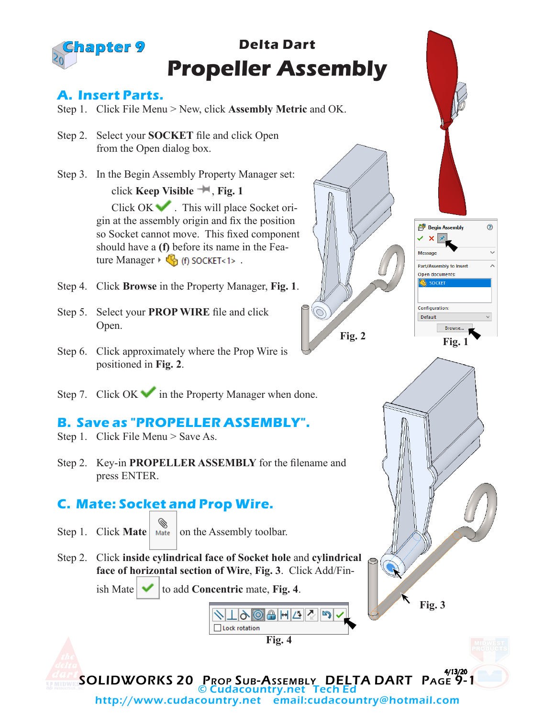

#### **A. Insert Parts.**

- Step 1. Click File Menu > New, click **Assembly Metric** and OK.
- Step 2. Select your **SOCKET** file and click Open from the Open dialog box.
- Step 3. In the Begin Assembly Property Manager set: click **Keep Visible** , **Fig. 1** Click OK . This will place Socket ori-

gin at the assembly origin and fix the position so Socket cannot move. This fixed component should have a **(f)** before its name in the Feature Manager  $\mathbb{C}_{\mathbb{R}}$  (f) SOCKET<1>.

- Step 4. Click **Browse** in the Property Manager, **Fig. 1**.
- Step 5. Select your **PROP WIRE** file and click Open.
- Step 6. Click approximately where the Prop Wire is positioned in **Fig. 2**.
- Step 7. Click  $OK \rightarrow$  in the Property Manager when done.

### **B. Save as "PROPELLER ASSEMBLY".**

- Step 1. Click File Menu > Save As.
- Step 2. Key-in **PROPELLER ASSEMBLY** for the filename and press ENTER.

### **C. Mate: Socket and Prop Wire.**

- Step 1. Click **Mate** Mate on the Assembly toolbar.
- Step 2. Click **inside cylindrical face of Socket hole** and **cylindrical face of horizontal section of Wire**, **Fig. 3**. Click Add/Fin-







**Fig. 2**



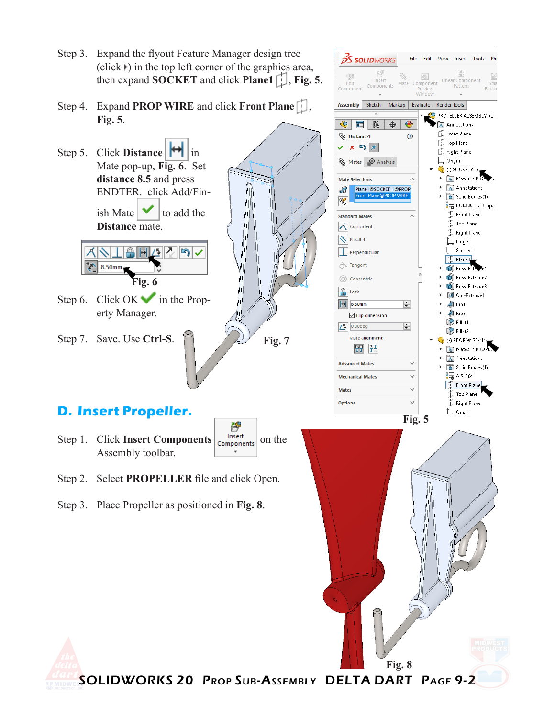- Step 3. Expand the flyout Feature Manager design tree  $(click)$  in the top left corner of the graphics area, then expand **SOCKET** and click **Plane1** , **Fig. 5**.
- Step 4. Expand **PROP WIRE** and click **Front Plane Fig. 5**.
- Step 5. Click **Distance**  $\left|\mathbf{H}\right|$  in Mate pop-up, **Fig. 6**. Set **distance 8.5** and press ENDTER. click Add/Finish Mate  $\bullet$  to add the **Distance** mate.

1/51 G 8.50mm **Fig. 6**

- Step 6. Click OK in the Property Manager.
- Step 7. Save. Use **Ctrl-S**.

# **D. Insert Propeller.**

- 臂 Step 1. Click **Insert Components on the Components** on the Assembly toolbar.
- Step 2. Select **PROPELLER** file and click Open.
- Step 3. Place Propeller as positioned in **Fig. 8**.





SOLIDWORKS 20 Prop Sub-Assembly DELTA DART Page 9-2

**Fig. 7**